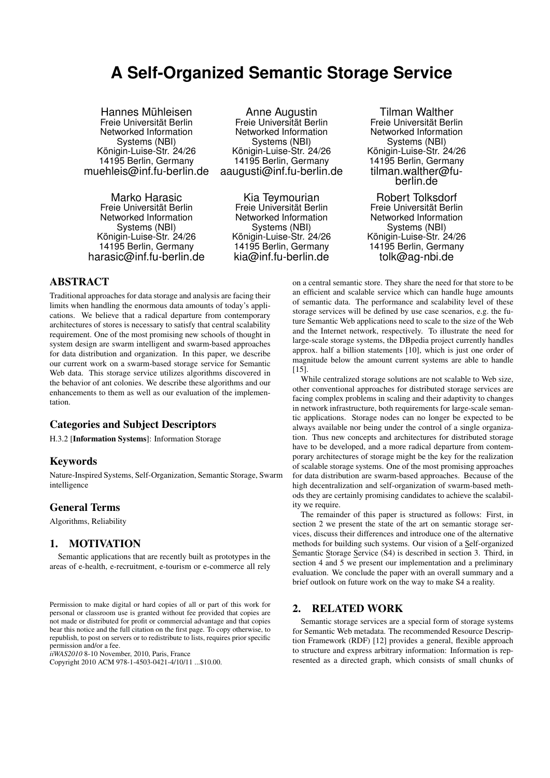# **A Self-Organized Semantic Storage Service**

Hannes Mühleisen Freie Universität Berlin Networked Information Systems (NBI) Königin-Luise-Str. 24/26 14195 Berlin, Germany muehleis@inf.fu-berlin.de

Marko Harasic Freie Universität Berlin Networked Information Systems (NBI) Königin-Luise-Str. 24/26 14195 Berlin, Germany harasic@inf.fu-berlin.de

Anne Augustin Freie Universität Berlin Networked Information Systems (NBI) Königin-Luise-Str. 24/26 14195 Berlin, Germany aaugusti@inf.fu-berlin.de

Kia Teymourian Freie Universität Berlin Networked Information Systems (NBI) Königin-Luise-Str. 24/26 14195 Berlin, Germany kia@inf.fu-berlin.de

# ABSTRACT

Traditional approaches for data storage and analysis are facing their limits when handling the enormous data amounts of today's applications. We believe that a radical departure from contemporary architectures of stores is necessary to satisfy that central scalability requirement. One of the most promising new schools of thought in system design are swarm intelligent and swarm-based approaches for data distribution and organization. In this paper, we describe our current work on a swarm-based storage service for Semantic Web data. This storage service utilizes algorithms discovered in the behavior of ant colonies. We describe these algorithms and our enhancements to them as well as our evaluation of the implementation.

# Categories and Subject Descriptors

H.3.2 [Information Systems]: Information Storage

# Keywords

Nature-Inspired Systems, Self-Organization, Semantic Storage, Swarm intelligence

## General Terms

Algorithms, Reliability

# 1. MOTIVATION

Semantic applications that are recently built as prototypes in the areas of e-health, e-recruitment, e-tourism or e-commerce all rely

*iiWAS2010* 8-10 November, 2010, Paris, France

Tilman Walther Freie Universität Berlin Networked Information Systems (NBI) Königin-Luise-Str. 24/26 14195 Berlin, Germany tilman.walther@fuberlin.de

Robert Tolksdorf Freie Universität Berlin Networked Information Systems (NBI) Königin-Luise-Str. 24/26 14195 Berlin, Germany tolk@ag-nbi.de

on a central semantic store. They share the need for that store to be an efficient and scalable service which can handle huge amounts of semantic data. The performance and scalability level of these storage services will be defined by use case scenarios, e.g. the future Semantic Web applications need to scale to the size of the Web and the Internet network, respectively. To illustrate the need for large-scale storage systems, the DBpedia project currently handles approx. half a billion statements [10], which is just one order of magnitude below the amount current systems are able to handle [15].

While centralized storage solutions are not scalable to Web size, other conventional approaches for distributed storage services are facing complex problems in scaling and their adaptivity to changes in network infrastructure, both requirements for large-scale semantic applications. Storage nodes can no longer be expected to be always available nor being under the control of a single organization. Thus new concepts and architectures for distributed storage have to be developed, and a more radical departure from contemporary architectures of storage might be the key for the realization of scalable storage systems. One of the most promising approaches for data distribution are swarm-based approaches. Because of the high decentralization and self-organization of swarm-based methods they are certainly promising candidates to achieve the scalability we require.

The remainder of this paper is structured as follows: First, in section 2 we present the state of the art on semantic storage services, discuss their differences and introduce one of the alternative methods for building such systems. Our vision of a Self-organized Semantic Storage Service (S4) is described in section 3. Third, in section 4 and 5 we present our implementation and a preliminary evaluation. We conclude the paper with an overall summary and a brief outlook on future work on the way to make S4 a reality.

#### 2. RELATED WORK

Semantic storage services are a special form of storage systems for Semantic Web metadata. The recommended Resource Description Framework (RDF) [12] provides a general, flexible approach to structure and express arbitrary information: Information is represented as a directed graph, which consists of small chunks of

Permission to make digital or hard copies of all or part of this work for personal or classroom use is granted without fee provided that copies are not made or distributed for profit or commercial advantage and that copies bear this notice and the full citation on the first page. To copy otherwise, to republish, to post on servers or to redistribute to lists, requires prior specific permission and/or a fee.

Copyright 2010 ACM 978-1-4503-0421-4/10/11 ...\$10.00.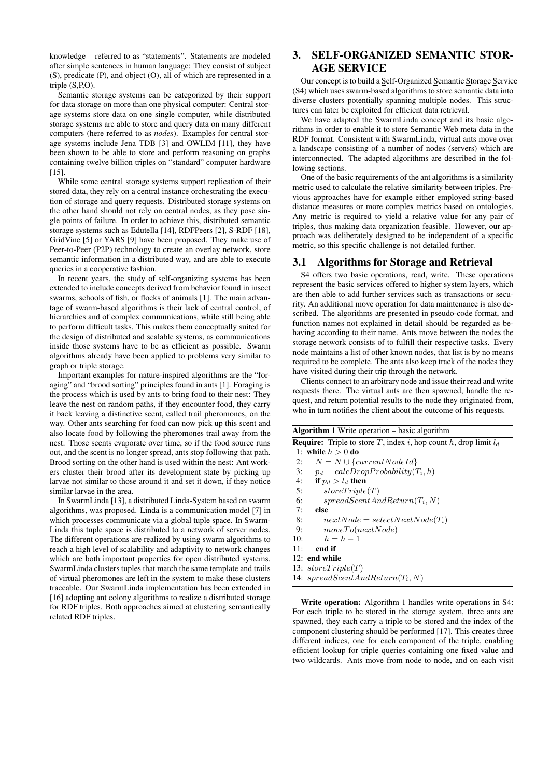knowledge – referred to as "statements". Statements are modeled after simple sentences in human language: They consist of subject (S), predicate (P), and object (O), all of which are represented in a triple (S,P,O).

Semantic storage systems can be categorized by their support for data storage on more than one physical computer: Central storage systems store data on one single computer, while distributed storage systems are able to store and query data on many different computers (here referred to as *nodes*). Examples for central storage systems include Jena TDB [3] and OWLIM [11], they have been shown to be able to store and perform reasoning on graphs containing twelve billion triples on "standard" computer hardware [15].

While some central storage systems support replication of their stored data, they rely on a central instance orchestrating the execution of storage and query requests. Distributed storage systems on the other hand should not rely on central nodes, as they pose single points of failure. In order to achieve this, distributed semantic storage systems such as Edutella [14], RDFPeers [2], S-RDF [18], GridVine [5] or YARS [9] have been proposed. They make use of Peer-to-Peer (P2P) technology to create an overlay network, store semantic information in a distributed way, and are able to execute queries in a cooperative fashion.

In recent years, the study of self-organizing systems has been extended to include concepts derived from behavior found in insect swarms, schools of fish, or flocks of animals [1]. The main advantage of swarm-based algorithms is their lack of central control, of hierarchies and of complex communications, while still being able to perform difficult tasks. This makes them conceptually suited for the design of distributed and scalable systems, as communications inside those systems have to be as efficient as possible. Swarm algorithms already have been applied to problems very similar to graph or triple storage.

Important examples for nature-inspired algorithms are the "foraging" and "brood sorting" principles found in ants [1]. Foraging is the process which is used by ants to bring food to their nest: They leave the nest on random paths, if they encounter food, they carry it back leaving a distinctive scent, called trail pheromones, on the way. Other ants searching for food can now pick up this scent and also locate food by following the pheromones trail away from the nest. Those scents evaporate over time, so if the food source runs out, and the scent is no longer spread, ants stop following that path. Brood sorting on the other hand is used within the nest: Ant workers cluster their brood after its development state by picking up larvae not similar to those around it and set it down, if they notice similar larvae in the area.

In SwarmLinda [13], a distributed Linda-System based on swarm algorithms, was proposed. Linda is a communication model [7] in which processes communicate via a global tuple space. In Swarm-Linda this tuple space is distributed to a network of server nodes. The different operations are realized by using swarm algorithms to reach a high level of scalability and adaptivity to network changes which are both important properties for open distributed systems. SwarmLinda clusters tuples that match the same template and trails of virtual pheromones are left in the system to make these clusters traceable. Our SwarmLinda implementation has been extended in [16] adopting ant colony algorithms to realize a distributed storage for RDF triples. Both approaches aimed at clustering semantically related RDF triples.

# 3. SELF-ORGANIZED SEMANTIC STOR-AGE SERVICE

Our concept is to build a Self-Organized Semantic Storage Service (S4) which uses swarm-based algorithms to store semantic data into diverse clusters potentially spanning multiple nodes. This structures can later be exploited for efficient data retrieval.

We have adapted the SwarmLinda concept and its basic algorithms in order to enable it to store Semantic Web meta data in the RDF format. Consistent with SwarmLinda, virtual ants move over a landscape consisting of a number of nodes (servers) which are interconnected. The adapted algorithms are described in the following sections.

One of the basic requirements of the ant algorithms is a similarity metric used to calculate the relative similarity between triples. Previous approaches have for example either employed string-based distance measures or more complex metrics based on ontologies. Any metric is required to yield a relative value for any pair of triples, thus making data organization feasible. However, our approach was deliberately designed to be independent of a specific metric, so this specific challenge is not detailed further.

## 3.1 Algorithms for Storage and Retrieval

S4 offers two basic operations, read, write. These operations represent the basic services offered to higher system layers, which are then able to add further services such as transactions or security. An additional move operation for data maintenance is also described. The algorithms are presented in pseudo-code format, and function names not explained in detail should be regarded as behaving according to their name. Ants move between the nodes the storage network consists of to fulfill their respective tasks. Every node maintains a list of other known nodes, that list is by no means required to be complete. The ants also keep track of the nodes they have visited during their trip through the network.

Clients connect to an arbitrary node and issue their read and write requests there. The virtual ants are then spawned, handle the request, and return potential results to the node they originated from, who in turn notifies the client about the outcome of his requests.

| <b>Algorithm 1</b> Write operation – basic algorithm                      |  |  |  |  |
|---------------------------------------------------------------------------|--|--|--|--|
| <b>Require:</b> Triple to store T, index i, hop count h, drop limit $l_d$ |  |  |  |  |
| 1: while $h > 0$ do                                                       |  |  |  |  |
| $N = N \cup \{currentNodeId\}$<br>2:                                      |  |  |  |  |
| $p_d = calcDropProbability(T_i, h)$<br>3:                                 |  |  |  |  |
| 4:<br>if $p_d > l_d$ then                                                 |  |  |  |  |
| 5:<br>storeTriple(T)                                                      |  |  |  |  |
| 6:<br>$spreadScentAndReturn(T_i, N)$                                      |  |  |  |  |
| 7:<br>else                                                                |  |  |  |  |
| 8:<br>$nextNode = selectNextNode(T_i)$                                    |  |  |  |  |
| moveTo(nextNode)<br>9:                                                    |  |  |  |  |
| $h = h - 1$<br>10:                                                        |  |  |  |  |
| 11:<br>end if                                                             |  |  |  |  |
| $12:$ end while                                                           |  |  |  |  |
| 13: $storeTriple(T)$                                                      |  |  |  |  |
| 14: $spreadScentAndReturn(T_i, N)$                                        |  |  |  |  |
| Write operation: Algorithm 1 handles write operations in S4:              |  |  |  |  |

For each triple to be stored in the storage system, three ants are spawned, they each carry a triple to be stored and the index of the component clustering should be performed [17]. This creates three different indices, one for each component of the triple, enabling efficient lookup for triple queries containing one fixed value and two wildcards. Ants move from node to node, and on each visit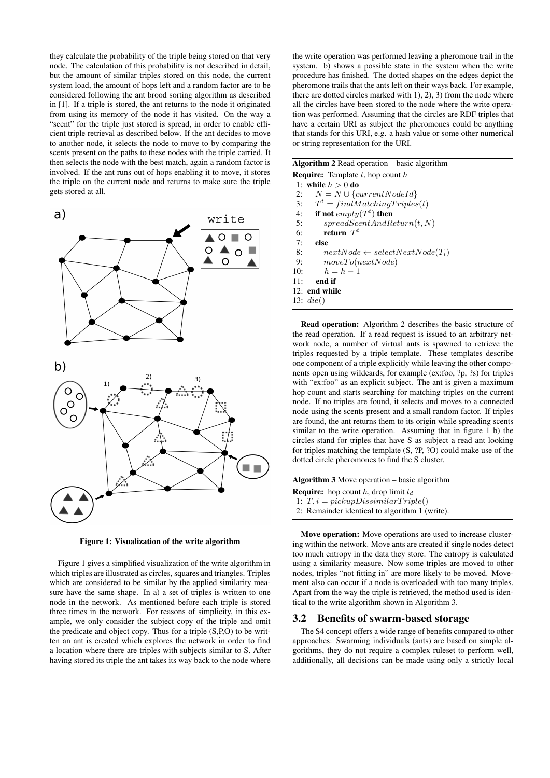they calculate the probability of the triple being stored on that very node. The calculation of this probability is not described in detail, but the amount of similar triples stored on this node, the current system load, the amount of hops left and a random factor are to be considered following the ant brood sorting algorithm as described in [1]. If a triple is stored, the ant returns to the node it originated from using its memory of the node it has visited. On the way a "scent" for the triple just stored is spread, in order to enable efficient triple retrieval as described below. If the ant decides to move to another node, it selects the node to move to by comparing the scents present on the paths to these nodes with the triple carried. It then selects the node with the best match, again a random factor is involved. If the ant runs out of hops enabling it to move, it stores the triple on the current node and returns to make sure the triple gets stored at all.



Figure 1: Visualization of the write algorithm

Figure 1 gives a simplified visualization of the write algorithm in which triples are illustrated as circles, squares and triangles. Triples which are considered to be similar by the applied similarity measure have the same shape. In a) a set of triples is written to one node in the network. As mentioned before each triple is stored three times in the network. For reasons of simplicity, in this example, we only consider the subject copy of the triple and omit the predicate and object copy. Thus for a triple (S,P,O) to be written an ant is created which explores the network in order to find a location where there are triples with subjects similar to S. After having stored its triple the ant takes its way back to the node where

the write operation was performed leaving a pheromone trail in the system. b) shows a possible state in the system when the write procedure has finished. The dotted shapes on the edges depict the pheromone trails that the ants left on their ways back. For example, there are dotted circles marked with 1), 2), 3) from the node where all the circles have been stored to the node where the write operation was performed. Assuming that the circles are RDF triples that have a certain URI as subject the pheromones could be anything that stands for this URI, e.g. a hash value or some other numerical or string representation for the URI.

|                                              | <b>Algorithm 2</b> Read operation – basic algorithm |  |  |
|----------------------------------------------|-----------------------------------------------------|--|--|
| <b>Require:</b> Template $t$ , hop count $h$ |                                                     |  |  |
|                                              | 1: while $h > 0$ do                                 |  |  |
| 2:                                           | $N = N \cup \{currentNodeId\}$                      |  |  |
| 3:                                           | $T^t = findMatchingTriples(t)$                      |  |  |
| 4:                                           | if not $empty(T^t)$ then                            |  |  |
| 5:                                           | spreadScentAndReturn(t, N)                          |  |  |
| 6:                                           | return $T^t$                                        |  |  |
| 7:                                           | else                                                |  |  |
| 8:                                           | $nextNode \leftarrow selectNextNode(T_i)$           |  |  |
| 9:                                           | moveTo(nextNode)                                    |  |  |
| 10:                                          | $h = h - 1$                                         |  |  |
| 11:                                          | end if                                              |  |  |
|                                              | $12:$ end while                                     |  |  |
|                                              | 13: $die()$                                         |  |  |

Read operation: Algorithm 2 describes the basic structure of the read operation. If a read request is issued to an arbitrary network node, a number of virtual ants is spawned to retrieve the triples requested by a triple template. These templates describe one component of a triple explicitly while leaving the other components open using wildcards, for example (ex:foo, ?p, ?s) for triples with "ex:foo" as an explicit subject. The ant is given a maximum hop count and starts searching for matching triples on the current node. If no triples are found, it selects and moves to a connected node using the scents present and a small random factor. If triples are found, the ant returns them to its origin while spreading scents similar to the write operation. Assuming that in figure 1 b) the circles stand for triples that have S as subject a read ant looking for triples matching the template (S, ?P, ?O) could make use of the dotted circle pheromones to find the S cluster.

| <b>Algorithm 3</b> Move operation $-$ basic algorithm |  |  |  |
|-------------------------------------------------------|--|--|--|
| <b>Require:</b> hop count h, drop limit $l_d$         |  |  |  |
| 1: $T, i = pickupDissimilarTriple()$                  |  |  |  |
| 2: Remainder identical to algorithm 1 (write).        |  |  |  |

Move operation: Move operations are used to increase clustering within the network. Move ants are created if single nodes detect too much entropy in the data they store. The entropy is calculated using a similarity measure. Now some triples are moved to other nodes, triples "not fitting in" are more likely to be moved. Movement also can occur if a node is overloaded with too many triples. Apart from the way the triple is retrieved, the method used is identical to the write algorithm shown in Algorithm 3.

#### 3.2 Benefits of swarm-based storage

The S4 concept offers a wide range of benefits compared to other approaches: Swarming individuals (ants) are based on simple algorithms, they do not require a complex ruleset to perform well, additionally, all decisions can be made using only a strictly local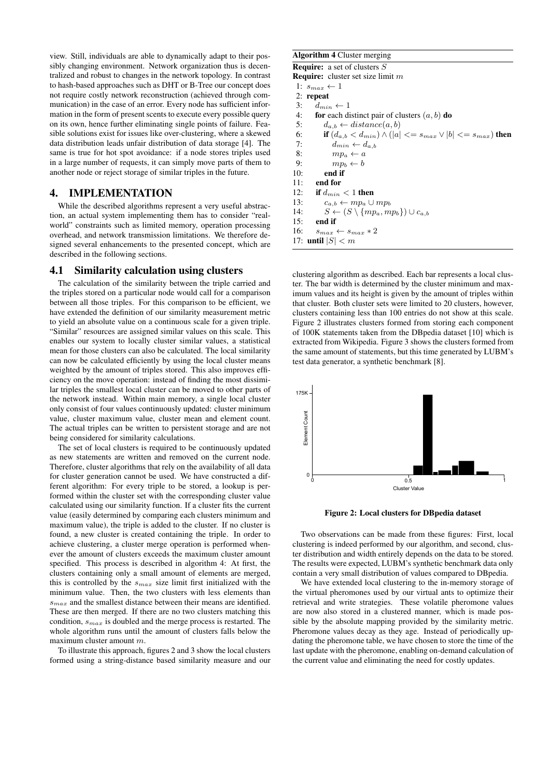view. Still, individuals are able to dynamically adapt to their possibly changing environment. Network organization thus is decentralized and robust to changes in the network topology. In contrast to hash-based approaches such as DHT or B-Tree our concept does not require costly network reconstruction (achieved through communication) in the case of an error. Every node has sufficient information in the form of present scents to execute every possible query on its own, hence further eliminating single points of failure. Feasible solutions exist for issues like over-clustering, where a skewed data distribution leads unfair distribution of data storage [4]. The same is true for hot spot avoidance: if a node stores triples used in a large number of requests, it can simply move parts of them to another node or reject storage of similar triples in the future.

#### 4. IMPLEMENTATION

While the described algorithms represent a very useful abstraction, an actual system implementing them has to consider "realworld" constraints such as limited memory, operation processing overhead, and network transmission limitations. We therefore designed several enhancements to the presented concept, which are described in the following sections.

#### 4.1 Similarity calculation using clusters

The calculation of the similarity between the triple carried and the triples stored on a particular node would call for a comparison between all those triples. For this comparison to be efficient, we have extended the definition of our similarity measurement metric to yield an absolute value on a continuous scale for a given triple. "Similar" resources are assigned similar values on this scale. This enables our system to locally cluster similar values, a statistical mean for those clusters can also be calculated. The local similarity can now be calculated efficiently by using the local cluster means weighted by the amount of triples stored. This also improves efficiency on the move operation: instead of finding the most dissimilar triples the smallest local cluster can be moved to other parts of the network instead. Within main memory, a single local cluster only consist of four values continuously updated: cluster minimum value, cluster maximum value, cluster mean and element count. The actual triples can be written to persistent storage and are not being considered for similarity calculations.

The set of local clusters is required to be continuously updated as new statements are written and removed on the current node. Therefore, cluster algorithms that rely on the availability of all data for cluster generation cannot be used. We have constructed a different algorithm: For every triple to be stored, a lookup is performed within the cluster set with the corresponding cluster value calculated using our similarity function. If a cluster fits the current value (easily determined by comparing each clusters minimum and maximum value), the triple is added to the cluster. If no cluster is found, a new cluster is created containing the triple. In order to achieve clustering, a cluster merge operation is performed whenever the amount of clusters exceeds the maximum cluster amount specified. This process is described in algorithm 4: At first, the clusters containing only a small amount of elements are merged, this is controlled by the  $s_{max}$  size limit first initialized with the minimum value. Then, the two clusters with less elements than  $s_{max}$  and the smallest distance between their means are identified. These are then merged. If there are no two clusters matching this condition,  $s_{max}$  is doubled and the merge process is restarted. The whole algorithm runs until the amount of clusters falls below the maximum cluster amount m.

To illustrate this approach, figures 2 and 3 show the local clusters formed using a string-distance based similarity measure and our

# Algorithm 4 Cluster merging

| <b>Require:</b> a set of clusters S                                                      |
|------------------------------------------------------------------------------------------|
| <b>Require:</b> cluster set size limit $m$                                               |
| 1: $s_{max} \leftarrow 1$                                                                |
| $2:$ repeat                                                                              |
| $d_{min} \leftarrow 1$<br>3:                                                             |
| for each distinct pair of clusters $(a, b)$ do<br>4:                                     |
| $d_{a,b} \leftarrow distance(a,b)$<br>5:                                                 |
| <b>if</b> $(d_{a,b} < d_{min}) \wedge ( a  < = s_{max} \vee  b  < = s_{max})$ then<br>6: |
| 7:<br>$d_{min} \leftarrow d_{a,b}$                                                       |
| 8:<br>$mp_a \leftarrow a$                                                                |
| $mp_b \leftarrow b$<br>9:                                                                |
| 10:<br>end if                                                                            |
| end for<br>11:                                                                           |
| 12:<br>if $d_{min} < 1$ then                                                             |
| 13:<br>$c_{a,b} \leftarrow mp_a \cup mp_b$                                               |
| $S \leftarrow (S \setminus \{mp_a, mp_b\}) \cup c_{a,b}$<br>14:                          |
| end if<br>15:                                                                            |
| 16:<br>$s_{max} \leftarrow s_{max} * 2$                                                  |
| 17: <b>until</b> $ S  < m$                                                               |

clustering algorithm as described. Each bar represents a local cluster. The bar width is determined by the cluster minimum and maximum values and its height is given by the amount of triples within that cluster. Both cluster sets were limited to 20 clusters, however, clusters containing less than 100 entries do not show at this scale. Figure 2 illustrates clusters formed from storing each component of 100K statements taken from the DBpedia dataset [10] which is extracted from Wikipedia. Figure 3 shows the clusters formed from the same amount of statements, but this time generated by LUBM's test data generator, a synthetic benchmark [8].



Figure 2: Local clusters for DBpedia dataset

Two observations can be made from these figures: First, local clustering is indeed performed by our algorithm, and second, cluster distribution and width entirely depends on the data to be stored. The results were expected, LUBM's synthetic benchmark data only contain a very small distribution of values compared to DBpedia.

We have extended local clustering to the in-memory storage of the virtual pheromones used by our virtual ants to optimize their retrieval and write strategies. These volatile pheromone values are now also stored in a clustered manner, which is made possible by the absolute mapping provided by the similarity metric. Pheromone values decay as they age. Instead of periodically updating the pheromone table, we have chosen to store the time of the last update with the pheromone, enabling on-demand calculation of the current value and eliminating the need for costly updates.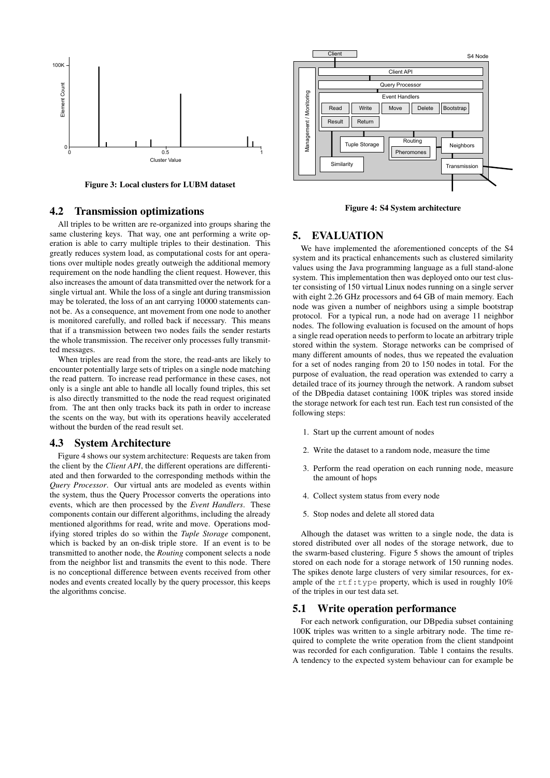

Figure 3: Local clusters for LUBM dataset

# 4.2 Transmission optimizations

All triples to be written are re-organized into groups sharing the same clustering keys. That way, one ant performing a write operation is able to carry multiple triples to their destination. This greatly reduces system load, as computational costs for ant operations over multiple nodes greatly outweigh the additional memory requirement on the node handling the client request. However, this also increases the amount of data transmitted over the network for a single virtual ant. While the loss of a single ant during transmission may be tolerated, the loss of an ant carrying 10000 statements cannot be. As a consequence, ant movement from one node to another is monitored carefully, and rolled back if necessary. This means that if a transmission between two nodes fails the sender restarts the whole transmission. The receiver only processes fully transmitted messages.

When triples are read from the store, the read-ants are likely to encounter potentially large sets of triples on a single node matching the read pattern. To increase read performance in these cases, not only is a single ant able to handle all locally found triples, this set is also directly transmitted to the node the read request originated from. The ant then only tracks back its path in order to increase the scents on the way, but with its operations heavily accelerated without the burden of the read result set.

#### 4.3 System Architecture

Figure 4 shows our system architecture: Requests are taken from the client by the *Client API*, the different operations are differentiated and then forwarded to the corresponding methods within the *Query Processor*. Our virtual ants are modeled as events within the system, thus the Query Processor converts the operations into events, which are then processed by the *Event Handlers*. These components contain our different algorithms, including the already mentioned algorithms for read, write and move. Operations modifying stored triples do so within the *Tuple Storage* component, which is backed by an on-disk triple store. If an event is to be transmitted to another node, the *Routing* component selects a node from the neighbor list and transmits the event to this node. There is no conceptional difference between events received from other nodes and events created locally by the query processor, this keeps the algorithms concise.



Figure 4: S4 System architecture

#### 5. EVALUATION

We have implemented the aforementioned concepts of the S4 system and its practical enhancements such as clustered similarity values using the Java programming language as a full stand-alone system. This implementation then was deployed onto our test cluster consisting of 150 virtual Linux nodes running on a single server with eight 2.26 GHz processors and 64 GB of main memory. Each node was given a number of neighbors using a simple bootstrap protocol. For a typical run, a node had on average 11 neighbor nodes. The following evaluation is focused on the amount of hops a single read operation needs to perform to locate an arbitrary triple stored within the system. Storage networks can be comprised of many different amounts of nodes, thus we repeated the evaluation for a set of nodes ranging from 20 to 150 nodes in total. For the purpose of evaluation, the read operation was extended to carry a detailed trace of its journey through the network. A random subset of the DBpedia dataset containing 100K triples was stored inside the storage network for each test run. Each test run consisted of the following steps:

- 1. Start up the current amount of nodes
- 2. Write the dataset to a random node, measure the time
- 3. Perform the read operation on each running node, measure the amount of hops
- 4. Collect system status from every node
- 5. Stop nodes and delete all stored data

Alhough the dataset was written to a single node, the data is stored distributed over all nodes of the storage network, due to the swarm-based clustering. Figure 5 shows the amount of triples stored on each node for a storage network of 150 running nodes. The spikes denote large clusters of very similar resources, for example of the  $rtf:type$  property, which is used in roughly  $10\%$ of the triples in our test data set.

#### 5.1 Write operation performance

For each network configuration, our DBpedia subset containing 100K triples was written to a single arbitrary node. The time required to complete the write operation from the client standpoint was recorded for each configuration. Table 1 contains the results. A tendency to the expected system behaviour can for example be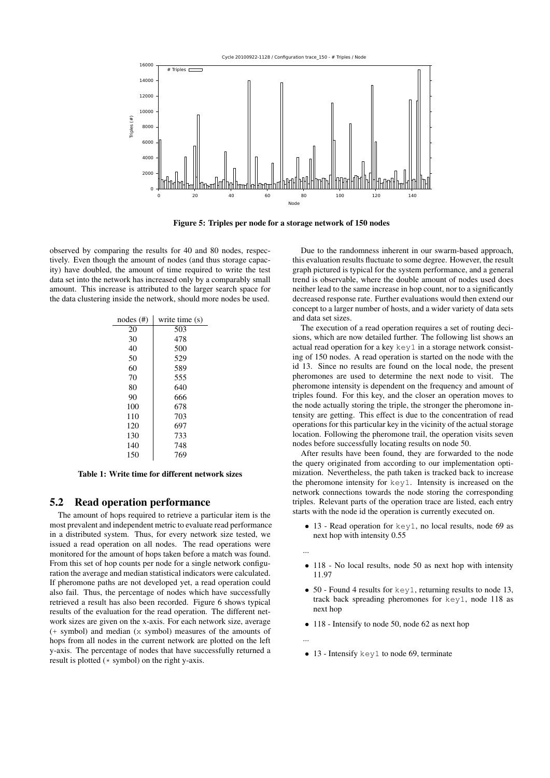

Figure 5: Triples per node for a storage network of 150 nodes

observed by comparing the results for 40 and 80 nodes, respectively. Even though the amount of nodes (and thus storage capacity) have doubled, the amount of time required to write the test data set into the network has increased only by a comparably small amount. This increase is attributed to the larger search space for the data clustering inside the network, should more nodes be used.

| $\text{nodes}(\#)$ | write time $(s)$ |
|--------------------|------------------|
| 20                 | 503              |
| 30                 | 478              |
| 40                 | 500              |
| 50                 | 529              |
| 60                 | 589              |
| 70                 | 555              |
| 80                 | 640              |
| 90                 | 666              |
| 100                | 678              |
| 110                | 703              |
| 120                | 697              |
| 130                | 733              |
| 140                | 748              |
| 150                | 769              |

Table 1: Write time for different network sizes

#### 5.2 Read operation performance

The amount of hops required to retrieve a particular item is the most prevalent and independent metric to evaluate read performance in a distributed system. Thus, for every network size tested, we issued a read operation on all nodes. The read operations were monitored for the amount of hops taken before a match was found. From this set of hop counts per node for a single network configuration the average and median statistical indicators were calculated. If pheromone paths are not developed yet, a read operation could also fail. Thus, the percentage of nodes which have successfully retrieved a result has also been recorded. Figure 6 shows typical results of the evaluation for the read operation. The different network sizes are given on the x-axis. For each network size, average (+ symbol) and median (x symbol) measures of the amounts of hops from all nodes in the current network are plotted on the left y-axis. The percentage of nodes that have successfully returned a result is plotted (\* symbol) on the right y-axis.

Due to the randomness inherent in our swarm-based approach, this evaluation results fluctuate to some degree. However, the result graph pictured is typical for the system performance, and a general trend is observable, where the double amount of nodes used does neither lead to the same increase in hop count, nor to a significantly decreased response rate. Further evaluations would then extend our concept to a larger number of hosts, and a wider variety of data sets and data set sizes.

The execution of a read operation requires a set of routing decisions, which are now detailed further. The following list shows an actual read operation for a key  $key1$  in a storage network consisting of 150 nodes. A read operation is started on the node with the id 13. Since no results are found on the local node, the present pheromones are used to determine the next node to visit. The pheromone intensity is dependent on the frequency and amount of triples found. For this key, and the closer an operation moves to the node actually storing the triple, the stronger the pheromone intensity are getting. This effect is due to the concentration of read operations for this particular key in the vicinity of the actual storage location. Following the pheromone trail, the operation visits seven nodes before successfully locating results on node 50.

After results have been found, they are forwarded to the node the query originated from according to our implementation optimization. Nevertheless, the path taken is tracked back to increase the pheromone intensity for key1. Intensity is increased on the network connections towards the node storing the corresponding triples. Relevant parts of the operation trace are listed, each entry starts with the node id the operation is currently executed on.

• 13 - Read operation for key1, no local results, node 69 as next hop with intensity 0.55

...

- 118 No local results, node 50 as next hop with intensity 11.97
- 50 Found 4 results for key1, returning results to node 13, track back spreading pheromones for key1, node 118 as next hop
- 118 Intensify to node 50, node 62 as next hop

...

• 13 - Intensify key1 to node 69, terminate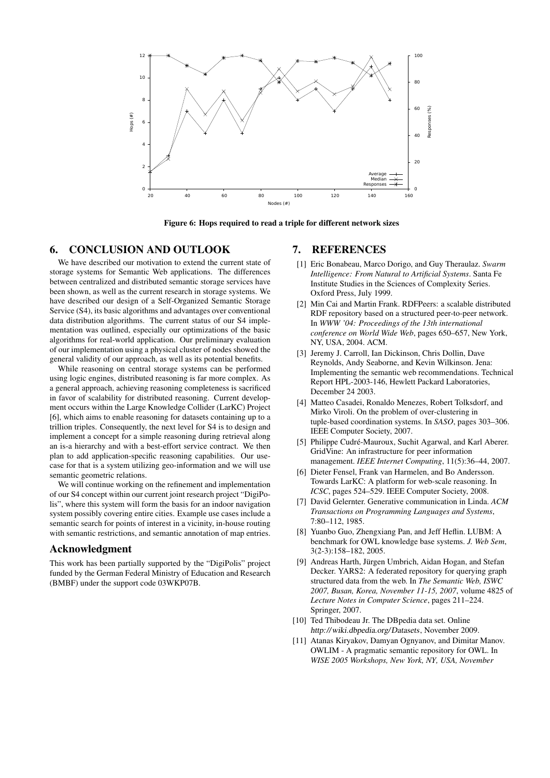

Figure 6: Hops required to read a triple for different network sizes

# 6. CONCLUSION AND OUTLOOK

We have described our motivation to extend the current state of storage systems for Semantic Web applications. The differences between centralized and distributed semantic storage services have been shown, as well as the current research in storage systems. We have described our design of a Self-Organized Semantic Storage Service (S4), its basic algorithms and advantages over conventional data distribution algorithms. The current status of our S4 implementation was outlined, especially our optimizations of the basic algorithms for real-world application. Our preliminary evaluation of our implementation using a physical cluster of nodes showed the general validity of our approach, as well as its potential benefits.

While reasoning on central storage systems can be performed using logic engines, distributed reasoning is far more complex. As a general approach, achieving reasoning completeness is sacrificed in favor of scalability for distributed reasoning. Current development occurs within the Large Knowledge Collider (LarKC) Project [6], which aims to enable reasoning for datasets containing up to a trillion triples. Consequently, the next level for S4 is to design and implement a concept for a simple reasoning during retrieval along an is-a hierarchy and with a best-effort service contract. We then plan to add application-specific reasoning capabilities. Our usecase for that is a system utilizing geo-information and we will use semantic geometric relations.

We will continue working on the refinement and implementation of our S4 concept within our current joint research project "DigiPolis", where this system will form the basis for an indoor navigation system possibly covering entire cities. Example use cases include a semantic search for points of interest in a vicinity, in-house routing with semantic restrictions, and semantic annotation of map entries.

#### Acknowledgment

This work has been partially supported by the "DigiPolis" project funded by the German Federal Ministry of Education and Research (BMBF) under the support code 03WKP07B.

# 7. REFERENCES

- [1] Eric Bonabeau, Marco Dorigo, and Guy Theraulaz. *Swarm Intelligence: From Natural to Artificial Systems*. Santa Fe Institute Studies in the Sciences of Complexity Series. Oxford Press, July 1999.
- [2] Min Cai and Martin Frank. RDFPeers: a scalable distributed RDF repository based on a structured peer-to-peer network. In *WWW '04: Proceedings of the 13th international conference on World Wide Web*, pages 650–657, New York, NY, USA, 2004. ACM.
- [3] Jeremy J. Carroll, Ian Dickinson, Chris Dollin, Dave Reynolds, Andy Seaborne, and Kevin Wilkinson. Jena: Implementing the semantic web recommendations. Technical Report HPL-2003-146, Hewlett Packard Laboratories, December 24 2003.
- [4] Matteo Casadei, Ronaldo Menezes, Robert Tolksdorf, and Mirko Viroli. On the problem of over-clustering in tuple-based coordination systems. In *SASO*, pages 303–306. IEEE Computer Society, 2007.
- [5] Philippe Cudré-Mauroux, Suchit Agarwal, and Karl Aberer. GridVine: An infrastructure for peer information management. *IEEE Internet Computing*, 11(5):36–44, 2007.
- [6] Dieter Fensel, Frank van Harmelen, and Bo Andersson. Towards LarKC: A platform for web-scale reasoning. In *ICSC*, pages 524–529. IEEE Computer Society, 2008.
- [7] David Gelernter. Generative communication in Linda. *ACM Transactions on Programming Languages and Systems*, 7:80–112, 1985.
- [8] Yuanbo Guo, Zhengxiang Pan, and Jeff Heflin. LUBM: A benchmark for OWL knowledge base systems. *J. Web Sem*, 3(2-3):158–182, 2005.
- [9] Andreas Harth, Jürgen Umbrich, Aidan Hogan, and Stefan Decker. YARS2: A federated repository for querying graph structured data from the web. In *The Semantic Web, ISWC 2007, Busan, Korea, November 11-15, 2007*, volume 4825 of *Lecture Notes in Computer Science*, pages 211–224. Springer, 2007.
- [10] Ted Thibodeau Jr. The DBpedia data set. Online http://wiki.dbpedia.org/Datasets, November 2009.
- [11] Atanas Kiryakov, Damyan Ognyanov, and Dimitar Manov. OWLIM - A pragmatic semantic repository for OWL. In *WISE 2005 Workshops, New York, NY, USA, November*